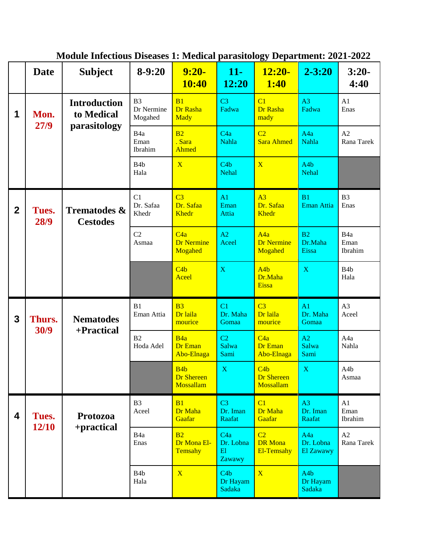|                         | <b>Date</b>    | <b>Subject</b>                             | $8-9:20$                                | $9:20-$<br><b>10:40</b>                            | $11-$<br>12:20                       | ञ<br>$12:20-$<br><b>1:40</b>                   | $2 - 3:20$                                 | $3:20-$<br>4:40                     |
|-------------------------|----------------|--------------------------------------------|-----------------------------------------|----------------------------------------------------|--------------------------------------|------------------------------------------------|--------------------------------------------|-------------------------------------|
| 1                       | Mon.<br>27/9   | <b>Introduction</b><br>to Medical          | B <sub>3</sub><br>Dr Nermine<br>Mogahed | B1<br>Dr Rasha<br><b>Mady</b>                      | C <sub>3</sub><br>Fadwa              | C <sub>1</sub><br>Dr Rasha<br>mady             | A <sub>3</sub><br>Fadwa                    | A1<br>Enas                          |
|                         |                | parasitology                               | B <sub>4a</sub><br>Eman<br>Ibrahim      | B <sub>2</sub><br>. Sara<br>Ahmed                  | C4a<br><b>Nahla</b>                  | C <sub>2</sub><br><b>Sara Ahmed</b>            | A <sub>4</sub> a<br>Nahla                  | A2<br>Rana Tarek                    |
|                         |                |                                            | B <sub>4</sub> b<br>Hala                | $\overline{\mathbf{X}}$                            | C4b<br><b>Nehal</b>                  | $\overline{\mathbf{X}}$                        | A <sub>4</sub> b<br><b>Nehal</b>           |                                     |
| $\mathbf{2}$            | Tues.<br>28/9  | <b>Trematodes &amp;</b><br><b>Cestodes</b> | C1<br>Dr. Safaa<br>Khedr                | $\overline{C}3$<br>Dr. Safaa<br><b>Khedr</b>       | A <sub>1</sub><br>Eman<br>Attia      | A <sub>3</sub><br>Dr. Safaa<br><b>Khedr</b>    | B1<br>Eman Attia                           | B <sub>3</sub><br>Enas              |
|                         |                |                                            | C <sub>2</sub><br>Asmaa                 | C4a<br><b>Dr Nermine</b><br>Mogahed                | A2<br>Aceel                          | A4a<br><b>Dr Nermine</b><br>Mogahed            | B2<br>Dr.Maha<br>Eissa                     | B <sub>4</sub> a<br>Eman<br>Ibrahim |
|                         |                |                                            |                                         | C4b<br>Aceel                                       | $\mathbf X$                          | A4b<br>Dr.Maha<br>Eissa                        | $\mathbf X$                                | B <sub>4</sub> b<br>Hala            |
| $\overline{\mathbf{3}}$ | Thurs.<br>30/9 | <b>Nematodes</b><br>+Practical             | B1<br>Eman Attia                        | B <sub>3</sub><br>Dr laila<br>mourice              | C <sub>1</sub><br>Dr. Maha<br>Gomaa  | C <sub>3</sub><br>Dr laila<br>mourice          | A <sub>1</sub><br>Dr. Maha<br>Gomaa        | A3<br>Aceel                         |
|                         |                |                                            | B <sub>2</sub><br>Hoda Adel             | B4a<br>Dr Eman<br>Abo-Elnaga                       | C <sub>2</sub><br>Salwa<br>Sami      | C4a<br>Dr Eman<br>Abo-Elnaga                   | A2<br>Salwa<br>Sami                        | A4a<br>Nahla                        |
|                         |                |                                            |                                         | B <sub>4</sub> b<br><b>Dr Shereen</b><br>Mossallam | $\mathbf X$                          | C4b<br><b>Dr Shereen</b><br>Mossallam          | $\mathbf X$                                | A <sub>4</sub> b<br>Asmaa           |
| 4                       | Tues.<br>12/10 | Protozoa<br>+practical                     | B <sub>3</sub><br>Aceel                 | B1<br>Dr Maha<br>Gaafar                            | C <sub>3</sub><br>Dr. Iman<br>Raafat | C1<br>Dr Maha<br>Gaafar                        | A <sub>3</sub><br>Dr. Iman<br>Raafat       | A1<br>Eman<br>Ibrahim               |
|                         |                |                                            | B <sub>4a</sub><br>Enas                 | B <sub>2</sub><br>Dr Mona El-<br>Temsahy           | C4a<br>Dr. Lobna<br>E1<br>Zawawy     | C <sub>2</sub><br><b>DR</b> Mona<br>El-Temsahy | A <sub>4</sub> a<br>Dr. Lobna<br>El Zawawy | A2<br>Rana Tarek                    |
|                         |                |                                            | B <sub>4</sub> b<br>Hala                | $\overline{\mathbf{X}}$                            | C4b<br>Dr Hayam<br>Sadaka            | $\overline{X}$                                 | A <sub>4</sub> b<br>Dr Hayam<br>Sadaka     |                                     |

**Module Infectious Diseases 1: Medical parasitology Department: 2021-2022**